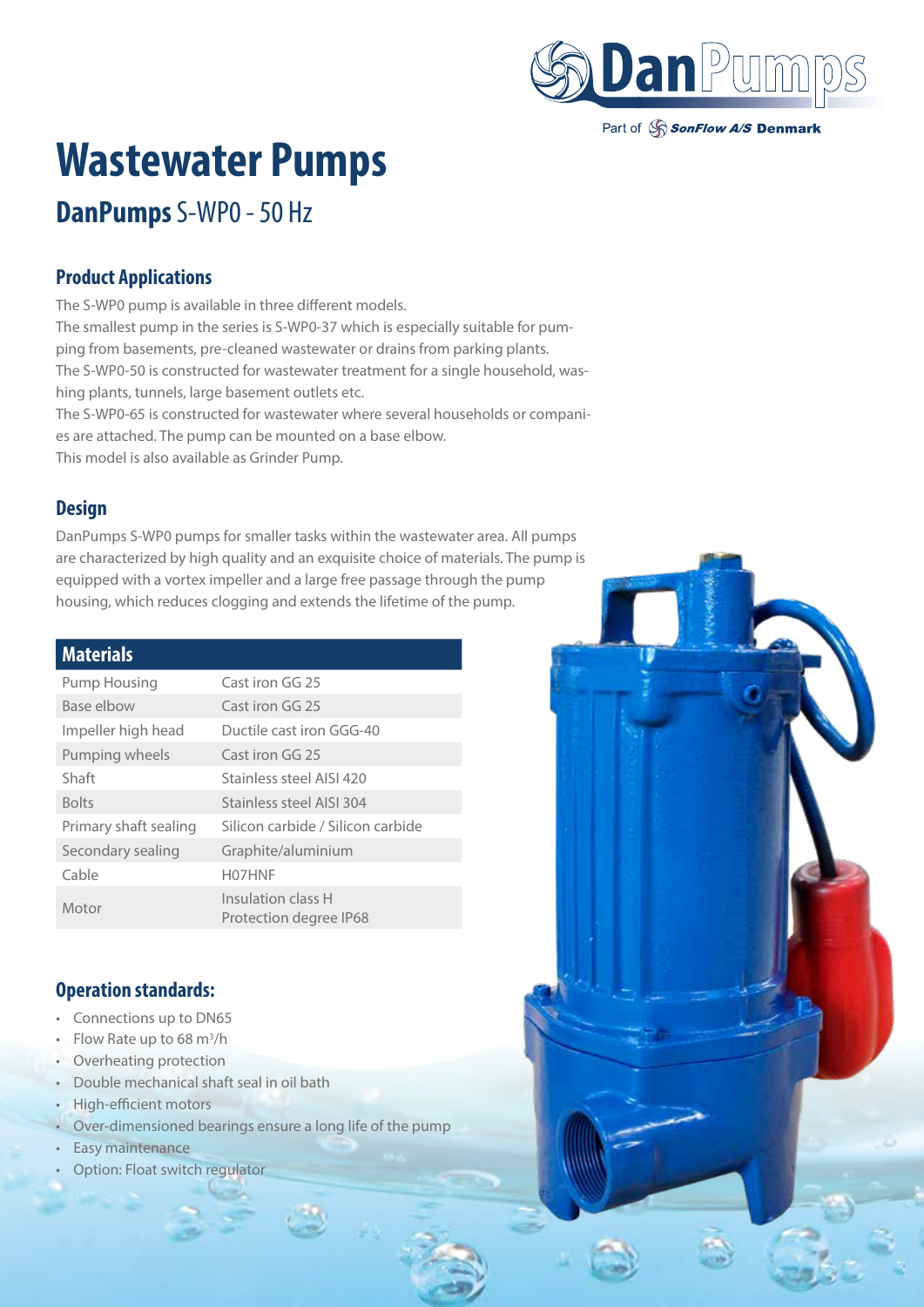

Part of SonFlow A/S Denmark

# **Wastewater Pumps**

# **DanPumps** S-WP0 - 50 Hz

## **Product Applications**

The S-WP0 pump is available in three different models. The smallest pump in the series is S-WP0-37 which is especially suitable for pumping from basements, pre-cleaned wastewater or drains from parking plants. The S-WP0-50 is constructed for wastewater treatment for a single household, washing plants, tunnels, large basement outlets etc. The S-WP0-65 is constructed for wastewater where several households or companies are attached. The pump can be mounted on a base elbow.

This model is also available as Grinder Pump.

### **Design**

DanPumps S-WP0 pumps for smaller tasks within the wastewater area. All pumps are characterized by high quality and an exquisite choice of materials. The pump is equipped with a vortex impeller and a large free passage through the pump housing, which reduces clogging and extends the lifetime of the pump.

#### **Materials**

| Pump Housing          | Cast iron GG 25                              |
|-----------------------|----------------------------------------------|
| Base elbow            | Cast iron GG 25                              |
| Impeller high head    | Ductile cast iron GGG-40                     |
| Pumping wheels        | Cast iron GG 25                              |
| Shaft                 | Stainless steel AISI 420                     |
| <b>Bolts</b>          | Stainless steel AISI 304                     |
| Primary shaft sealing | Silicon carbide / Silicon carbide            |
| Secondary sealing     | Graphite/aluminium                           |
| Cable                 | H07HNF                                       |
| Motor                 | Insulation class H<br>Protection degree IP68 |

### **Operation standards:**

- Connections up to DN65
- Flow Rate up to 68  $m^3/h$
- Overheating protection
- Double mechanical shaft seal in oil bath
- High-efficient motors
- Over-dimensioned bearings ensure a long life of the pump
- Easy maintenance
- Option: Float switch regulator